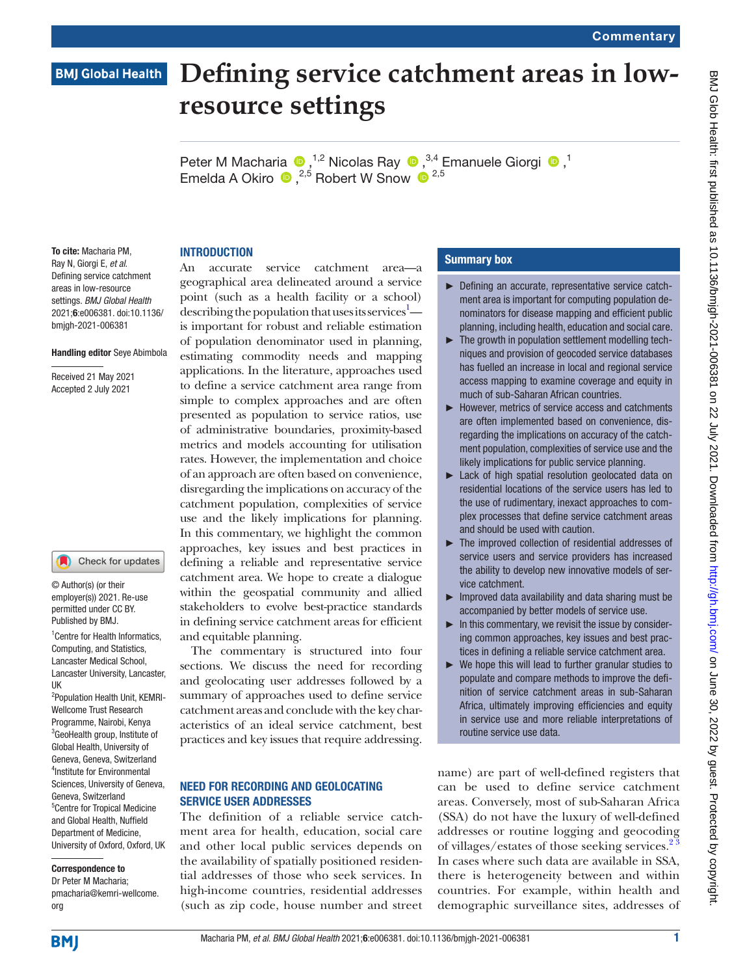# **Defining service catchment areas in low-BMJ Global Health resource settings**

Peter M Macharia  $\bullet$ ,<sup>1,2</sup> Nicolas Ray  $\bullet$ ,<sup>3,4</sup> Emanuele Giorgi  $\bullet$ ,<sup>1</sup> Emelda A Okiro  $\bullet$ , <sup>2,5</sup> Robert W Snow  $\bullet$ <sup>2,5</sup>

# **INTRODUCTION**

To cite: Macharia PM, Ray N, Giorgi E, *et al*. Defining service catchment areas in low-resource settings. *BMJ Global Health* 2021;6:e006381. doi:10.1136/ bmjgh-2021-006381

### Handling editor Seye Abimbola

Received 21 May 2021 Accepted 2 July 2021

### Check for updates

© Author(s) (or their employer(s)) 2021. Re-use permitted under CC BY. Published by BMJ.

1 Centre for Health Informatics, Computing, and Statistics, Lancaster Medical School, Lancaster University, Lancaster, UK

2 Population Health Unit, KEMRI-Wellcome Trust Research Programme, Nairobi, Kenya 3 GeoHealth group, Institute of Global Health, University of Geneva, Geneva, Switzerland 4 Institute for Environmental Sciences, University of Geneva, Geneva, Switzerland 5 Centre for Tropical Medicine and Global Health, Nuffield Department of Medicine, University of Oxford, Oxford, UK

### Correspondence to

Dr Peter M Macharia; pmacharia@kemri-wellcome. org

An accurate service catchment area—a geographical area delineated around a service point (such as a health facility or a school) describing the population that uses its services $^{1}$  is important for robust and reliable estimation of population denominator used in planning, estimating commodity needs and mapping applications. In the literature, approaches used to define a service catchment area range from simple to complex approaches and are often presented as population to service ratios, use of administrative boundaries, proximity-based metrics and models accounting for utilisation rates. However, the implementation and choice of an approach are often based on convenience, disregarding the implications on accuracy of the catchment population, complexities of service use and the likely implications for planning. In this commentary, we highlight the common approaches, key issues and best practices in defining a reliable and representative service catchment area. We hope to create a dialogue within the geospatial community and allied stakeholders to evolve best-practice standards in defining service catchment areas for efficient and equitable planning.

The commentary is structured into four sections. We discuss the need for recording and geolocating user addresses followed by a summary of approaches used to define service catchment areas and conclude with the key characteristics of an ideal service catchment, best practices and key issues that require addressing.

### NEED FOR RECORDING AND GEOLOCATING SERVICE USER ADDRESSES

The definition of a reliable service catchment area for health, education, social care and other local public services depends on the availability of spatially positioned residential addresses of those who seek services. In high-income countries, residential addresses (such as zip code, house number and street

### Summary box

- ► Defining an accurate, representative service catchment area is important for computing population denominators for disease mapping and efficient public planning, including health, education and social care.
- ► The growth in population settlement modelling techniques and provision of geocoded service databases has fuelled an increase in local and regional service access mapping to examine coverage and equity in much of sub-Saharan African countries.
- ► However, metrics of service access and catchments are often implemented based on convenience, disregarding the implications on accuracy of the catchment population, complexities of service use and the likely implications for public service planning.
- ► Lack of high spatial resolution geolocated data on residential locations of the service users has led to the use of rudimentary, inexact approaches to complex processes that define service catchment areas and should be used with caution.
- ► The improved collection of residential addresses of service users and service providers has increased the ability to develop new innovative models of service catchment.
- $\blacktriangleright$  Improved data availability and data sharing must be accompanied by better models of service use.
- $\blacktriangleright$  In this commentary, we revisit the issue by considering common approaches, key issues and best practices in defining a reliable service catchment area.
- ► We hope this will lead to further granular studies to populate and compare methods to improve the definition of service catchment areas in sub-Saharan Africa, ultimately improving efficiencies and equity in service use and more reliable interpretations of routine service use data.

name) are part of well-defined registers that can be used to define service catchment areas. Conversely, most of sub-Saharan Africa (SSA) do not have the luxury of well-defined addresses or routine logging and geocoding of villages/estates of those seeking services.<sup>2</sup> In cases where such data are available in SSA, there is heterogeneity between and within countries. For example, within health and demographic surveillance sites, addresses of

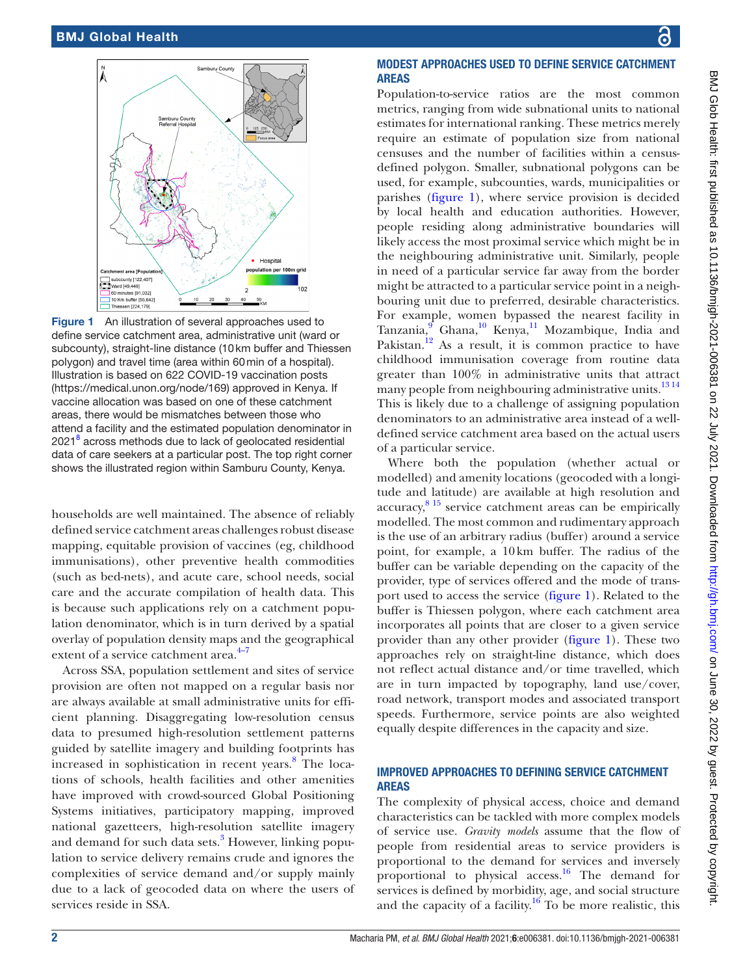

<span id="page-1-0"></span>Figure 1 An illustration of several approaches used to define service catchment area, administrative unit (ward or subcounty), straight-line distance (10km buffer and Thiessen polygon) and travel time (area within 60min of a hospital). Illustration is based on 622 COVID-19 vaccination posts [\(https://medical.unon.org/node/169](https://medical.unon.org/node/169)) approved in Kenya. If vaccine allocation was based on one of these catchment areas, there would be mismatches between those who attend a facility and the estimated population denominator in 2021<sup>8</sup> across methods due to lack of geolocated residential data of care seekers at a particular post. The top right corner shows the illustrated region within Samburu County, Kenya.

households are well maintained. The absence of reliably defined service catchment areas challenges robust disease mapping, equitable provision of vaccines (eg, childhood immunisations), other preventive health commodities (such as bed-nets), and acute care, school needs, social care and the accurate compilation of health data. This is because such applications rely on a catchment population denominator, which is in turn derived by a spatial overlay of population density maps and the geographical extent of a service catchment area. $4-7$ 

Across SSA, population settlement and sites of service provision are often not mapped on a regular basis nor are always available at small administrative units for efficient planning. Disaggregating low-resolution census data to presumed high-resolution settlement patterns guided by satellite imagery and building footprints has increased in sophistication in recent years.<sup>[8](#page-3-3)</sup> The locations of schools, health facilities and other amenities have improved with crowd-sourced Global Positioning Systems initiatives, participatory mapping, improved national gazetteers, high-resolution satellite imagery and demand for such data sets.<sup>[3](#page-3-4)</sup> However, linking population to service delivery remains crude and ignores the complexities of service demand and/or supply mainly due to a lack of geocoded data on where the users of services reside in SSA.

## MODEST APPROACHES USED TO DEFINE SERVICE CATCHMENT AREAS

Population-to-service ratios are the most common metrics, ranging from wide subnational units to national estimates for international ranking. These metrics merely require an estimate of population size from national censuses and the number of facilities within a censusdefined polygon. Smaller, subnational polygons can be used, for example, subcounties, wards, municipalities or parishes [\(figure](#page-1-0) 1), where service provision is decided by local health and education authorities. However, people residing along administrative boundaries will likely access the most proximal service which might be in the neighbouring administrative unit. Similarly, people in need of a particular service far away from the border might be attracted to a particular service point in a neighbouring unit due to preferred, desirable characteristics. For example, women bypassed the nearest facility in Tanzania, <sup>[9](#page-3-5)</sup> Ghana,<sup>[10](#page-3-6)</sup> Kenya,<sup>11</sup> Mozambique, India and Pakistan.<sup>12</sup> As a result, it is common practice to have childhood immunisation coverage from routine data greater than 100% in administrative units that attract many people from neighbouring administrative units.<sup>1314</sup> This is likely due to a challenge of assigning population denominators to an administrative area instead of a welldefined service catchment area based on the actual users of a particular service.

Where both the population (whether actual or modelled) and amenity locations (geocoded with a longitude and latitude) are available at high resolution and accuracy,<sup>8 15</sup> service catchment areas can be empirically modelled. The most common and rudimentary approach is the use of an arbitrary radius (buffer) around a service point, for example, a 10km buffer. The radius of the buffer can be variable depending on the capacity of the provider, type of services offered and the mode of transport used to access the service ([figure](#page-1-0) 1). Related to the buffer is Thiessen polygon, where each catchment area incorporates all points that are closer to a given service provider than any other provider ([figure](#page-1-0) 1). These two approaches rely on straight-line distance, which does not reflect actual distance and/or time travelled, which are in turn impacted by topography, land use/cover, road network, transport modes and associated transport speeds. Furthermore, service points are also weighted equally despite differences in the capacity and size.

## IMPROVED APPROACHES TO DEFINING SERVICE CATCHMENT AREAS

The complexity of physical access, choice and demand characteristics can be tackled with more complex models of service use. *Gravity models* assume that the flow of people from residential areas to service providers is proportional to the demand for services and inversely proportional to physical access.<sup>[16](#page-3-10)</sup> The demand for services is defined by morbidity, age, and social structure and the capacity of a facility.<sup>16</sup> To be more realistic, this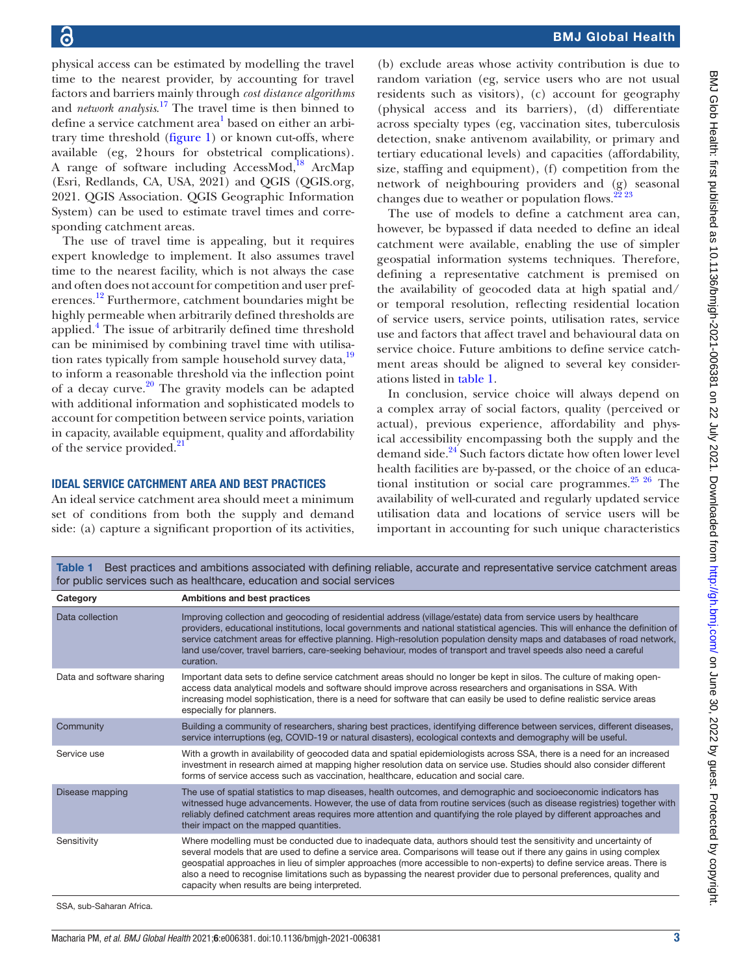physical access can be estimated by modelling the travel time to the nearest provider, by accounting for travel factors and barriers mainly through *cost distance algorithms* and *network analysis*. [17](#page-3-11) The travel time is then binned to define a service catchment area<sup>[1](#page-3-0)</sup> based on either an arbitrary time threshold ([figure](#page-1-0) 1) or known cut-offs, where available (eg, 2hours for obstetrical complications). A range of software including AccessMod, $^{18}$  ArcMap (Esri, Redlands, CA, USA, 2021) and QGIS (QGIS.org, 2021. QGIS Association. QGIS Geographic Information System) can be used to estimate travel times and corresponding catchment areas.

The use of travel time is appealing, but it requires expert knowledge to implement. It also assumes travel time to the nearest facility, which is not always the case and often does not account for competition and user preferences.[12](#page-3-8) Furthermore, catchment boundaries might be highly permeable when arbitrarily defined thresholds are applied.<sup>4</sup> The issue of arbitrarily defined time threshold can be minimised by combining travel time with utilisation rates typically from sample household survey data,<sup>19</sup> to inform a reasonable threshold via the inflection point of a decay curve. $20$  The gravity models can be adapted with additional information and sophisticated models to account for competition between service points, variation in capacity, available equipment, quality and affordability of the service provided.<sup>[21](#page-3-15)</sup>

### IDEAL SERVICE CATCHMENT AREA AND BEST PRACTICES

An ideal service catchment area should meet a minimum set of conditions from both the supply and demand side: (a) capture a significant proportion of its activities,

(b) exclude areas whose activity contribution is due to random variation (eg, service users who are not usual residents such as visitors), (c) account for geography (physical access and its barriers), (d) differentiate across specialty types (eg, vaccination sites, tuberculosis detection, snake antivenom availability, or primary and tertiary educational levels) and capacities (affordability, size, staffing and equipment), (f) competition from the network of neighbouring providers and (g) seasonal changes due to weather or population flows. $22\frac{23}{23}$ 

The use of models to define a catchment area can, however, be bypassed if data needed to define an ideal catchment were available, enabling the use of simpler geospatial information systems techniques. Therefore, defining a representative catchment is premised on the availability of geocoded data at high spatial and/ or temporal resolution, reflecting residential location of service users, service points, utilisation rates, service use and factors that affect travel and behavioural data on service choice. Future ambitions to define service catchment areas should be aligned to several key considerations listed in [table](#page-2-0) 1.

In conclusion, service choice will always depend on a complex array of social factors, quality (perceived or actual), previous experience, affordability and physical accessibility encompassing both the supply and the demand side.<sup>24</sup> Such factors dictate how often lower level health facilities are by-passed, or the choice of an educational institution or social care programmes. $25\frac{25}{6}$  The availability of well-curated and regularly updated service utilisation data and locations of service users will be important in accounting for such unique characteristics

<span id="page-2-0"></span>Table 1 Best practices and ambitions associated with defining reliable, accurate and representative service catchment areas for public services such as healthcare, education and social services

| Category                  | Ambitions and best practices                                                                                                                                                                                                                                                                                                                                                                                                                                                                                                                |
|---------------------------|---------------------------------------------------------------------------------------------------------------------------------------------------------------------------------------------------------------------------------------------------------------------------------------------------------------------------------------------------------------------------------------------------------------------------------------------------------------------------------------------------------------------------------------------|
| Data collection           | Improving collection and geocoding of residential address (village/estate) data from service users by healthcare<br>providers, educational institutions, local governments and national statistical agencies. This will enhance the definition of<br>service catchment areas for effective planning. High-resolution population density maps and databases of road network,<br>land use/cover, travel barriers, care-seeking behaviour, modes of transport and travel speeds also need a careful<br>curation.                               |
| Data and software sharing | Important data sets to define service catchment areas should no longer be kept in silos. The culture of making open-<br>access data analytical models and software should improve across researchers and organisations in SSA. With<br>increasing model sophistication, there is a need for software that can easily be used to define realistic service areas<br>especially for planners.                                                                                                                                                  |
| Community                 | Building a community of researchers, sharing best practices, identifying difference between services, different diseases,<br>service interruptions (eg, COVID-19 or natural disasters), ecological contexts and demography will be useful.                                                                                                                                                                                                                                                                                                  |
| Service use               | With a growth in availability of geocoded data and spatial epidemiologists across SSA, there is a need for an increased<br>investment in research aimed at mapping higher resolution data on service use. Studies should also consider different<br>forms of service access such as vaccination, healthcare, education and social care.                                                                                                                                                                                                     |
| Disease mapping           | The use of spatial statistics to map diseases, health outcomes, and demographic and socioeconomic indicators has<br>witnessed huge advancements. However, the use of data from routine services (such as disease registries) together with<br>reliably defined catchment areas requires more attention and quantifying the role played by different approaches and<br>their impact on the mapped quantities.                                                                                                                                |
| Sensitivity               | Where modelling must be conducted due to inadequate data, authors should test the sensitivity and uncertainty of<br>several models that are used to define a service area. Comparisons will tease out if there any gains in using complex<br>geospatial approaches in lieu of simpler approaches (more accessible to non-experts) to define service areas. There is<br>also a need to recognise limitations such as bypassing the nearest provider due to personal preferences, quality and<br>capacity when results are being interpreted. |

SSA, sub-Saharan Africa.